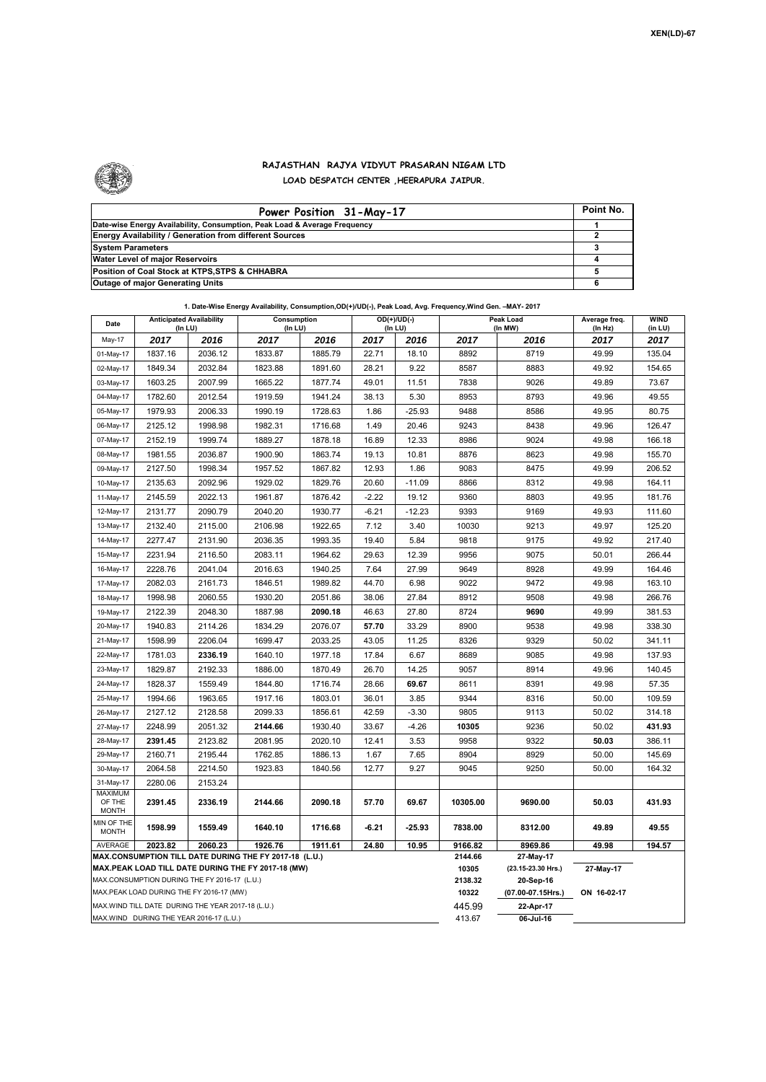

## **RAJASTHAN RAJYA VIDYUT PRASARAN NIGAM LTD LOAD DESPATCH CENTER ,HEERAPURA JAIPUR.**

| Power Position 31-May-17                                                  | Point No. |
|---------------------------------------------------------------------------|-----------|
| Date-wise Energy Availability, Consumption, Peak Load & Average Frequency |           |
| <b>Energy Availability / Generation from different Sources</b>            |           |
| <b>System Parameters</b>                                                  |           |
| Water Level of major Reservoirs                                           |           |
| Position of Coal Stock at KTPS, STPS & CHHABRA                            |           |
| <b>Outage of maior Generating Units</b>                                   |           |

| 1. Date-Wise Energy Availability, Consumption, OD(+)/UD(-), Peak Load, Avg. Frequency, Wind Gen. - MAY- 2017 |  |  |  |
|--------------------------------------------------------------------------------------------------------------|--|--|--|
|--------------------------------------------------------------------------------------------------------------|--|--|--|

| Date                                                                                               |         | <b>Anticipated Availability</b><br>(In LU) |         | Consumption<br>$($ In LU $)$ |         | $OD(+)/UD(-)$<br>(In LU) |                  | Peak Load<br>(In MW)            | Average freq.<br>(ln Hz) | <b>WIND</b><br>(in LU) |  |
|----------------------------------------------------------------------------------------------------|---------|--------------------------------------------|---------|------------------------------|---------|--------------------------|------------------|---------------------------------|--------------------------|------------------------|--|
| May-17                                                                                             | 2017    | 2016                                       | 2017    | 2016                         | 2017    | 2016                     | 2017             | 2016                            | 2017                     | 2017                   |  |
| 01-May-17                                                                                          | 1837.16 | 2036.12                                    | 1833.87 | 1885.79                      | 22.71   | 18.10                    | 8892             | 8719                            | 49.99                    | 135.04                 |  |
| 02-May-17                                                                                          | 1849.34 | 2032.84                                    | 1823.88 | 1891.60                      | 28.21   | 9.22                     | 8587             | 8883                            | 49.92                    | 154.65                 |  |
| 03-May-17                                                                                          | 1603.25 | 2007.99                                    | 1665.22 | 1877.74                      | 49.01   | 11.51                    | 7838             | 9026                            | 49.89                    | 73.67                  |  |
| 04-May-17                                                                                          | 1782.60 | 2012.54                                    | 1919.59 | 1941.24                      | 38.13   | 5.30                     | 8953             | 8793                            | 49.96                    | 49.55                  |  |
| 05-May-17                                                                                          | 1979.93 | 2006.33                                    | 1990.19 | 1728.63                      | 1.86    | $-25.93$                 | 9488             | 8586                            | 49.95                    | 80.75                  |  |
| 06-May-17                                                                                          | 2125.12 | 1998.98                                    | 1982.31 | 1716.68                      | 1.49    | 20.46                    | 9243             | 8438                            | 49.96                    | 126.47                 |  |
| 07-May-17                                                                                          | 2152.19 | 1999.74                                    | 1889.27 | 1878.18                      | 16.89   | 12.33                    | 8986             | 9024                            | 49.98                    | 166.18                 |  |
| 08-May-17                                                                                          | 1981.55 | 2036.87                                    | 1900.90 | 1863.74                      | 19.13   | 10.81                    | 8876             | 8623                            | 49.98                    | 155.70                 |  |
| 09-May-17                                                                                          | 2127.50 | 1998.34                                    | 1957.52 | 1867.82                      | 12.93   | 1.86                     | 9083             | 8475                            | 49.99                    | 206.52                 |  |
| 10-May-17                                                                                          | 2135.63 | 2092.96                                    | 1929.02 | 1829.76                      | 20.60   | $-11.09$                 | 8866             | 8312                            | 49.98                    | 164.11                 |  |
| 11-May-17                                                                                          | 2145.59 | 2022.13                                    | 1961.87 | 1876.42                      | $-2.22$ | 19.12                    | 9360             | 8803                            | 49.95                    | 181.76                 |  |
| 12-May-17                                                                                          | 2131.77 | 2090.79                                    | 2040.20 | 1930.77                      | $-6.21$ | $-12.23$                 | 9393             | 9169                            | 49.93                    | 111.60                 |  |
| 13-May-17                                                                                          | 2132.40 | 2115.00                                    | 2106.98 | 1922.65                      | 7.12    | 3.40                     | 10030            | 9213                            | 49.97                    | 125.20                 |  |
| 14-May-17                                                                                          | 2277.47 | 2131.90                                    | 2036.35 | 1993.35                      | 19.40   | 5.84                     | 9818             | 9175                            | 49.92                    | 217.40                 |  |
| 15-May-17                                                                                          | 2231.94 | 2116.50                                    | 2083.11 | 1964.62                      | 29.63   | 12.39                    | 9956             | 9075                            | 50.01                    | 266.44                 |  |
| 16-May-17                                                                                          | 2228.76 | 2041.04                                    | 2016.63 | 1940.25                      | 7.64    | 27.99                    | 9649             | 8928                            | 49.99                    | 164.46                 |  |
| 17-May-17                                                                                          | 2082.03 | 2161.73                                    | 1846.51 | 1989.82                      | 44.70   | 6.98                     | 9022             | 9472                            | 49.98                    | 163.10                 |  |
| 18-May-17                                                                                          | 1998.98 | 2060.55                                    | 1930.20 | 2051.86                      | 38.06   | 27.84                    | 8912             | 9508                            | 49.98                    | 266.76                 |  |
| 19-May-17                                                                                          | 2122.39 | 2048.30                                    | 1887.98 | 2090.18                      | 46.63   | 27.80                    | 8724             | 9690                            | 49.99                    | 381.53                 |  |
| 20-May-17                                                                                          | 1940.83 | 2114.26                                    | 1834.29 | 2076.07                      | 57.70   | 33.29                    | 8900             | 9538                            | 49.98                    | 338.30                 |  |
| 21-May-17                                                                                          | 1598.99 | 2206.04                                    | 1699.47 | 2033.25                      | 43.05   | 11.25                    | 8326             | 9329                            | 50.02                    | 341.11                 |  |
| 22-May-17                                                                                          | 1781.03 | 2336.19                                    | 1640.10 | 1977.18                      | 17.84   | 6.67                     | 8689             | 9085                            | 49.98                    | 137.93                 |  |
| 23-May-17                                                                                          | 1829.87 | 2192.33                                    | 1886.00 | 1870.49                      | 26.70   | 14.25                    | 9057             | 8914                            | 49.96                    | 140.45                 |  |
| 24-May-17                                                                                          | 1828.37 | 1559.49                                    | 1844.80 | 1716.74                      | 28.66   | 69.67                    | 8611             | 8391                            | 49.98                    | 57.35                  |  |
| 25-May-17                                                                                          | 1994.66 | 1963.65                                    | 1917.16 | 1803.01                      | 36.01   | 3.85                     | 9344             | 8316                            | 50.00                    | 109.59                 |  |
| 26-May-17                                                                                          | 2127.12 | 2128.58                                    | 2099.33 | 1856.61                      | 42.59   | $-3.30$                  | 9805             | 9113                            | 50.02                    | 314.18                 |  |
| 27-May-17                                                                                          | 2248.99 | 2051.32                                    | 2144.66 | 1930.40                      | 33.67   | $-4.26$                  | 10305            | 9236                            | 50.02                    | 431.93                 |  |
| 28-May-17                                                                                          | 2391.45 | 2123.82                                    | 2081.95 | 2020.10                      | 12.41   | 3.53                     | 9958             | 9322                            | 50.03                    | 386.11                 |  |
| 29-May-17                                                                                          | 2160.71 | 2195.44                                    | 1762.85 | 1886.13                      | 1.67    | 7.65                     | 8904             | 8929                            | 50.00                    | 145.69                 |  |
| 30-May-17                                                                                          | 2064.58 | 2214.50                                    | 1923.83 | 1840.56                      | 12.77   | 9.27                     | 9045             | 9250                            | 50.00                    | 164.32                 |  |
| 31-May-17                                                                                          | 2280.06 | 2153.24                                    |         |                              |         |                          |                  |                                 |                          |                        |  |
| MAXIMUM<br>OF THE<br><b>MONTH</b>                                                                  | 2391.45 | 2336.19                                    | 2144.66 | 2090.18                      | 57.70   | 69.67                    | 10305.00         | 9690.00                         | 50.03                    | 431.93                 |  |
| MIN OF THE<br><b>MONTH</b>                                                                         | 1598.99 | 1559.49                                    | 1640.10 | 1716.68                      | $-6.21$ | $-25.93$                 | 7838.00          | 8312.00                         | 49.89                    | 49.55                  |  |
| AVERAGE                                                                                            | 2023.82 | 2060.23                                    | 1926.76 | 1911.61                      | 24.80   | 10.95                    | 9166.82          | 8969.86                         | 49.98                    | 194.57                 |  |
| MAX.CONSUMPTION TILL DATE DURING THE FY 2017-18 (L.U.)                                             |         |                                            |         |                              |         |                          | 2144.66<br>10305 | 27-May-17                       |                          |                        |  |
| MAX.PEAK LOAD TILL DATE DURING THE FY 2017-18 (MW)<br>MAX.CONSUMPTION DURING THE FY 2016-17 (L.U.) |         |                                            |         |                              |         |                          | 2138.32          | (23.15-23.30 Hrs.)<br>20-Sep-16 | 27-May-17                |                        |  |
| MAX.PEAK LOAD DURING THE FY 2016-17 (MW)                                                           |         |                                            |         |                              |         |                          | 10322            | (07.00-07.15Hrs.)               | ON 16-02-17              |                        |  |
| MAX.WIND TILL DATE DURING THE YEAR 2017-18 (L.U.)                                                  |         |                                            |         |                              |         |                          | 445.99           | 22-Apr-17                       |                          |                        |  |
| MAX.WIND DURING THE YEAR 2016-17 (L.U.)                                                            |         |                                            |         |                              |         |                          |                  | 06-Jul-16                       |                          |                        |  |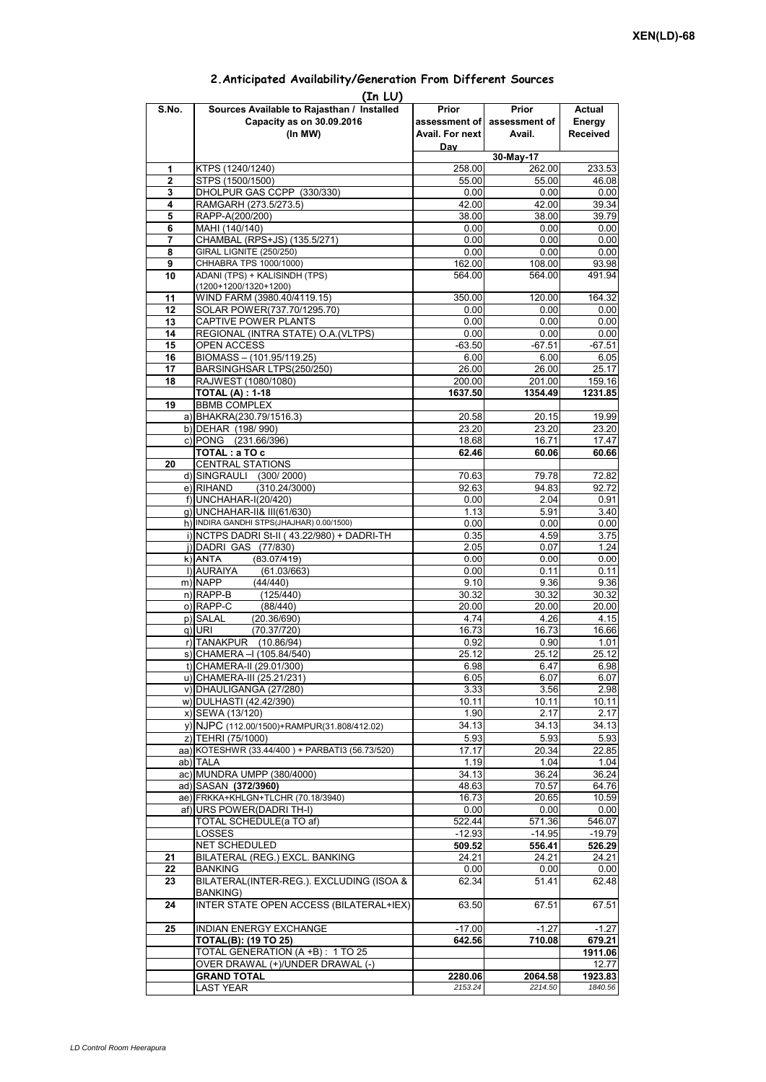## **Prior assessment of Avail. For next Day Prior assessment of Avail. Actual Energy Received 1** KTPS (1240/1240) 258.00 262.00 233.53 **2** STPS (1500/1500)<br> **3** DHOI PUR GAS CCPP (330/330)<br> **1000** 000 000 000 000 000 **3** DHOLPUR GAS CCPP (330/330) **4** RAMGARH (273.5/273.5) 42.00 42.00 39.34<br> **5** RAPP-A(200/200) 38.00 38.00 39.79 **5** RAPP-A(200/200) **38.00** 38.00 38.00 **38.00 6** MAHI (140/140) 0.00 0.00 0.00 **7** CHAMBAL (RPS+JS) (135.5/271) 0.00 0.00 0.00 0.00 **8** GIRAL LIGNITE (250/250) 0.00 0.00 0.00 0.00<br> **9** CHHABRA TPS 1000/1000) 0.00 162.00 108.00 93.98 **9** CHHABRA TPS 1000/1000) **10** ADANI (TPS) + KALISINDH (TPS) (1200+1200/1320+1200) 564.00 564.00 491.94 **11** WIND FARM (3980.40/4119.15)  $\qquad$  350.00 120.00 164.32 12 SOLAR POWER(737.70/1295.70) 0.00 0.00 0.00 0.00 **13** CAPTIVE POWER PLANTS 0.00 0.00 0.00 0.00 **14** REGIONAL (INTRA STATE) O.A.(VLTPS) 0.00 0.00 0.00 0.00 0.00 15 OPEN ACCESS -63.50 -67.51 -67.51<br>16 BIOMASS – (101.95/119.25) -6.00 6.00 6.00 6.05 **BIOMASS – (101.95/119.25) 17** BARSINGHSAR LTPS(250/250) 26.00 26.00 25.17 **18** RAJWEST (1080/1080) 200.00 201.00 201.00 159.16 **TOTAL (A) : 1-18 1637.50 1354.49 1231.85 19** BBMB COMPLEX a) BHAKRA(230.79/1516.3) 20.58 20.15 19.99<br>b) DEHAR (198/990) 23.20 23.20 23.20 23.20 b) DEHAR (198/ 990) c) PONG (231.66/396) 18.68 18.68 16.71 17.47 **TOTAL : a TO c** 62.46 60.06 60.06 60.66 **20** CENTRAL STATIONS d) SINGRAULI (300/2000) 70.63 79.78 72.82<br>e) RIHAND (310.24/3000) 92.63 94.83 92.72  $(310.24/3000)$ f) 0.00 2.04 0.91 g) UNCHAHAR-II& III(61/630) 1.13 5.91 3.40 h) INDIRA GANDHI STPS(JHAJHAR) 0.00/1500) 0.00 0.00 0.00 0.00 0.00 0.00 i)  $NCTPS$  DADRI St-II ( 43.22/980) + DADRI-TH  $\vert$  0.35 4.59 4.59 3.75 j)|DADRI GAS (77/830) 2.05 0.07 1.24<br>k)|ANTA (83.07/419) 0.00 0.00 0.00 k) ANTA (83 07/419) 0 00 0 00 0 00 **(In LU) S.No. Sources Available to Rajasthan / Installed Capacity as on 30.09.2016 (In MW) 30-May-17** ANTA (83.07/419)0.000.000.00l) AURAIYA (61.03/663) 0.00 0.11 0.11 m) NAPP (44/440) 9.10 9.36 9.36 n) RAPP-B (125/440) 30.32 30.32 30.32 o) RAPP-C (88/440) 20.00 20.00 20.00 p) SALAL (20.36/690) 4.74 4.26 4.15<br>q) URI (70.37/720) 4.6.66 q) URI (70.37/720) 16.73 16.73 16.66 r) TANAKPUR (10.86/94) 0.92 0.90 1.01<br>s) CHAMERA – (105.84/540) 25.12 25.12 25.12 25.12  $\overline{s}$ ) CHAMERA –I (105.84/540) t) CHAMERA-II (29.01/300) 6.98 6.47 6.98 u) CHAMERA-III (25.21/231) 6.05 6.07 6.07 v) DHAULIGANGA (27/280)  $\overline{3.33}$  3.33 3.56 2.98 w) DULHASTI (42.42/390) 10.11 10.11 10.11 10.11 10.11 10.11 x) SEWA (13/120) 1.90 2.17 2.17 y) NJPC (112.00/1500)+RAMPUR(31.808/412.02) z) TEHRI (75/1000) 5.93 5.93 5.93 aa) KOTESHWR (33.44/400) + PARBATI3 (56.73/520) ab) TALA 1.19 1.04 1.04 ac) MUNDRA UMPP (380/4000)  $\begin{array}{|l} \hline \text{a.34.13} \end{array}$  36.24 36.24 ad) SASAN **(372/3960)** 48.63 70.57 64.76<br>ae) FRKKA+KHLGN+TLCHR (70.18/3940) 48.63 46.73 20.65 10.59 ae) FRKKA+KHLGN+TLCHR (70.18/3940) af) URS POWER(DADRI TH-I) 0.00 0.00 0.00 TOTAL SCHEDULE(a TO af) 522.44 571.36 546.07 LOSSES -12.93 -14.95 -19.79 NET SCHEDULED **509.52 556.41 526.29 21** BILATERAL (REG.) EXCL. BANKING 24.21 24.21 24.21 **22** BANKING 0.00 0.00 0.00 **23** BILATERAL(INTER-REG.). EXCLUDING (ISOA & BANKING) 62.34 51.41 62.48 **24** INTER STATE OPEN ACCESS (BILATERAL+IEX) 63.50 67.51 67.51 **25** INDIAN ENERGY EXCHANGE -17.00 -1.27 -1.27 -1.27 **TOTAL(B): (19 TO 25) 642.56 710.08 679.21** TOTAL GENERATION (A +B) : 1 TO 25 **1911.06**<br>
OVER DRAWAL (+)/UNDER DRAWAL (-) 12.77 OVER DRAWAL (+)/UNDER DRAWAL (-) **GRAND TOTAL 2280.06 2064.58 1923.83** LAST YEAR *2153.24 2214.50 1840.56*

## **2.Anticipated Availability/Generation From Different Sources**